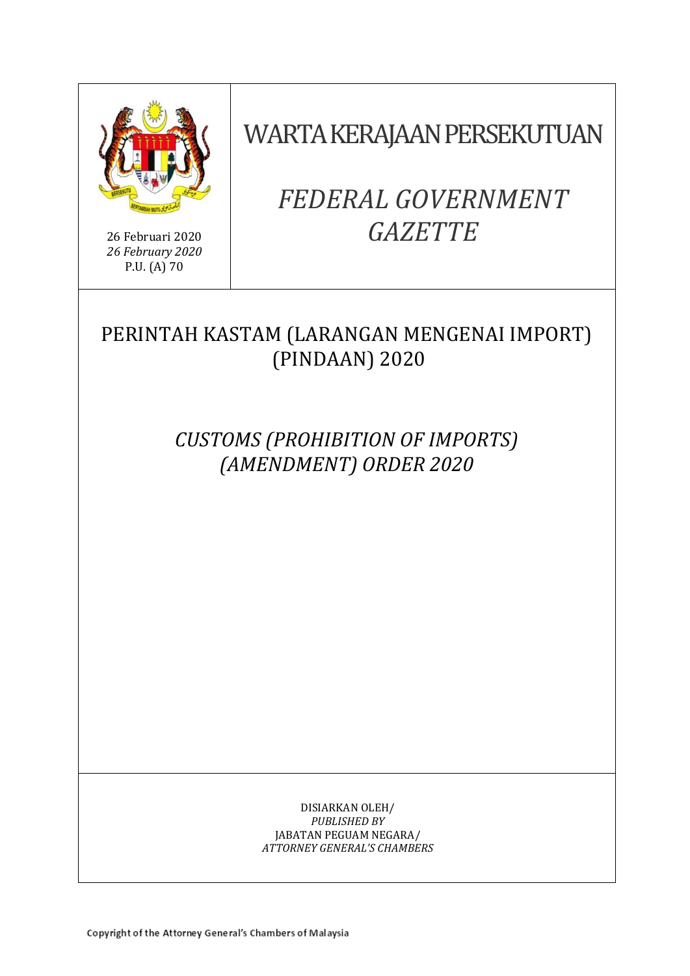

26 Februari 2020 *26 February 2020* P.U. (A) 70

WARTA KERAJAAN PERSEKUTUAN

# *FEDERAL GOVERNMENT GAZETTE*

# PERINTAH KASTAM (LARANGAN MENGENAI IMPORT) (PINDAAN) 2020

*CUSTOMS (PROHIBITION OF IMPORTS) (AMENDMENT) ORDER 2020*

> DISIARKAN OLEH/ *PUBLISHED BY* JABATAN PEGUAM NEGARA/ *ATTORNEY GENERAL'S CHAMBERS*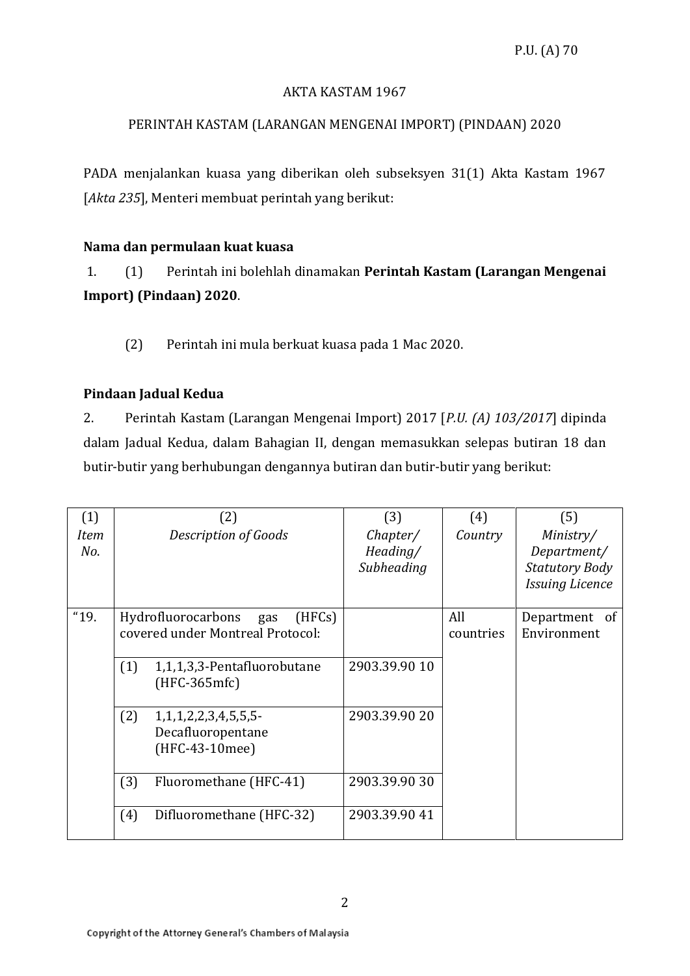#### AKTA KASTAM 1967

# PERINTAH KASTAM (LARANGAN MENGENAI IMPORT) (PINDAAN) 2020

PADA menjalankan kuasa yang diberikan oleh subseksyen 31(1) Akta Kastam 1967 [*Akta 235*], Menteri membuat perintah yang berikut:

# **Nama dan permulaan kuat kuasa**

1. (1) Perintah ini bolehlah dinamakan **Perintah Kastam (Larangan Mengenai Import) (Pindaan) 2020**.

(2) Perintah ini mula berkuat kuasa pada 1 Mac 2020.

# **Pindaan Jadual Kedua**

2. Perintah Kastam (Larangan Mengenai Import) 2017 [*P.U. (A) 103/2017*] dipinda dalam Jadual Kedua, dalam Bahagian II, dengan memasukkan selepas butiran 18 dan butir-butir yang berhubungan dengannya butiran dan butir-butir yang berikut:

| (1)         |     | (2)                                                                     | (3)                                | (4)              | (5)                                                                         |
|-------------|-----|-------------------------------------------------------------------------|------------------------------------|------------------|-----------------------------------------------------------------------------|
| Item<br>No. |     | Description of Goods                                                    | Chapter/<br>Heading/<br>Subheading | Country          | Ministry/<br>Department/<br><b>Statutory Body</b><br><b>Issuing Licence</b> |
| "19.        |     | Hydrofluorocarbons<br>(HFCs)<br>gas<br>covered under Montreal Protocol: |                                    | All<br>countries | Department of<br>Environment                                                |
|             | (1) | 1,1,1,3,3-Pentafluorobutane<br>$(HFC-365mfc)$                           | 2903.39.90 10                      |                  |                                                                             |
|             | (2) | 1, 1, 1, 2, 2, 3, 4, 5, 5, 5<br>Decafluoropentane<br>(HFC-43-10mee)     | 2903.39.90 20                      |                  |                                                                             |
|             | (3) | Fluoromethane (HFC-41)                                                  | 2903.39.90 30                      |                  |                                                                             |
|             | (4) | Difluoromethane (HFC-32)                                                | 2903.39.90 41                      |                  |                                                                             |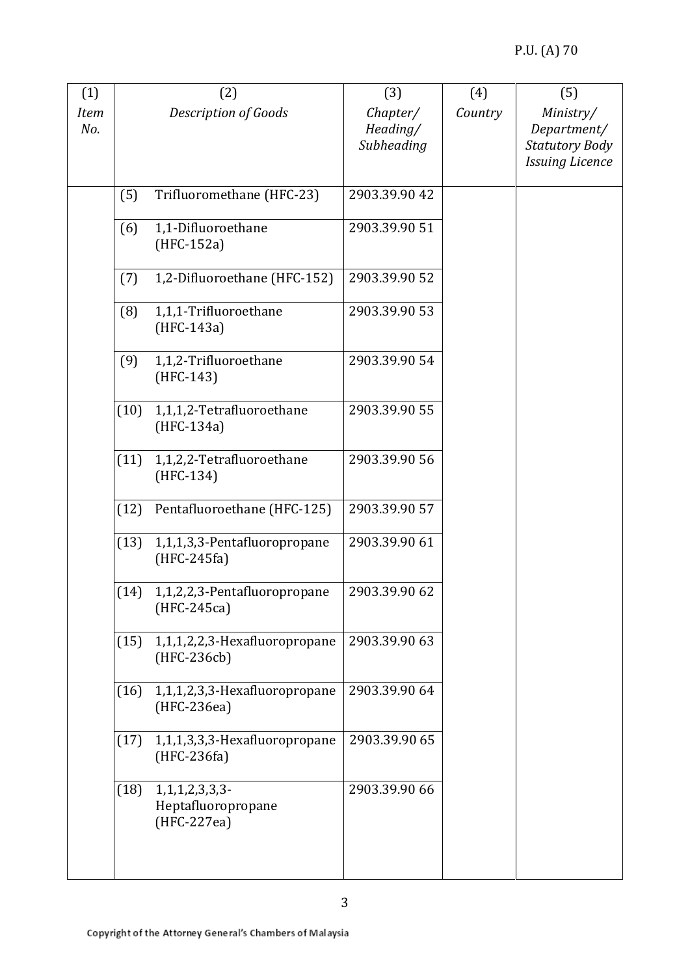| (1)                |      | (2)                                                          | (3)                                | (4)     | (5)                                                                         |
|--------------------|------|--------------------------------------------------------------|------------------------------------|---------|-----------------------------------------------------------------------------|
| <b>Item</b><br>No. |      | Description of Goods                                         | Chapter/<br>Heading/<br>Subheading | Country | Ministry/<br>Department/<br><b>Statutory Body</b><br><b>Issuing Licence</b> |
|                    | (5)  | Trifluoromethane (HFC-23)                                    | 2903.39.90 42                      |         |                                                                             |
|                    | (6)  | 1,1-Difluoroethane<br>$(HFC-152a)$                           | 2903.39.90 51                      |         |                                                                             |
|                    | (7)  | 1,2-Difluoroethane (HFC-152)                                 | 2903.39.90 52                      |         |                                                                             |
|                    | (8)  | 1,1,1-Trifluoroethane<br>(HFC-143a)                          | 2903.39.90 53                      |         |                                                                             |
|                    | (9)  | 1,1,2-Trifluoroethane<br>$(HFC-143)$                         | 2903.39.90 54                      |         |                                                                             |
|                    | (10) | 1,1,1,2-Tetrafluoroethane<br>(HFC-134a)                      | 2903.39.90 55                      |         |                                                                             |
|                    | (11) | 1,1,2,2-Tetrafluoroethane<br>$(HFC-134)$                     | 2903.39.90 56                      |         |                                                                             |
|                    | (12) | Pentafluoroethane (HFC-125)                                  | 2903.39.90 57                      |         |                                                                             |
|                    | (13) | 1,1,1,3,3-Pentafluoropropane<br>$(HFC-245fa)$                | 2903.39.90 61                      |         |                                                                             |
|                    | (14) | 1,1,2,2,3-Pentafluoropropane<br>$(HFC-245ca)$                | 2903.39.90 62                      |         |                                                                             |
|                    | (15) | 1,1,1,2,2,3-Hexafluoropropane<br>(HFC-236cb)                 | 2903.39.90 63                      |         |                                                                             |
|                    | (16) | 1,1,1,2,3,3-Hexafluoropropane<br>(HFC-236ea)                 | 2903.39.90 64                      |         |                                                                             |
|                    | (17) | 1,1,1,3,3,3-Hexafluoropropane<br>$(HFC-236fa)$               | 2903.39.90 65                      |         |                                                                             |
|                    | (18) | $1, 1, 1, 2, 3, 3, 3$ -<br>Heptafluoropropane<br>(HFC-227ea) | 2903.39.90 66                      |         |                                                                             |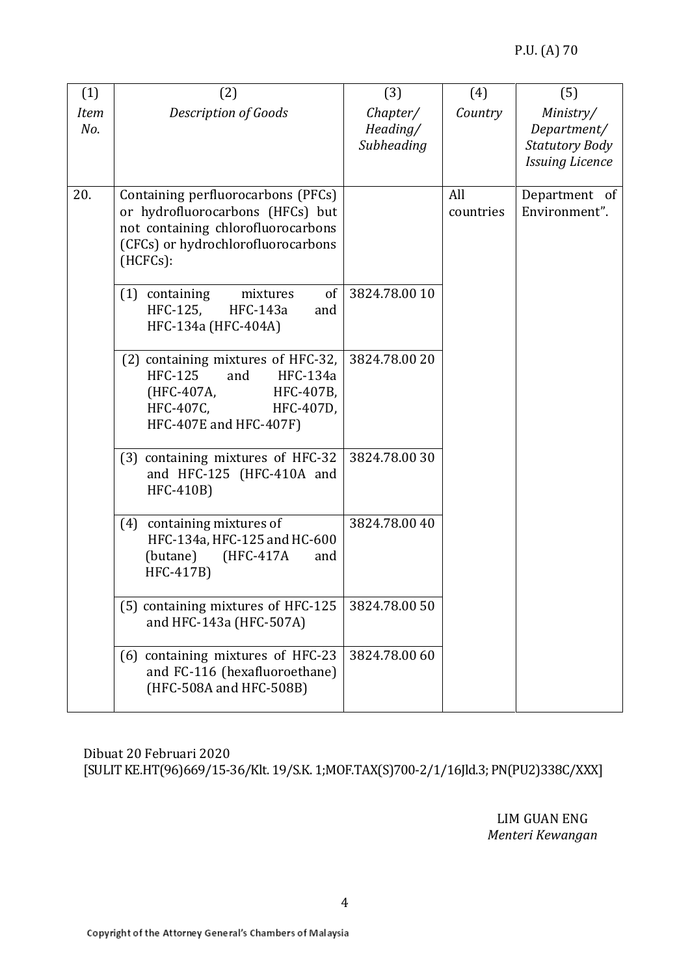| (1)                | (2)                                                                                                                                                            | (3)                                | (4)              | (5)                                                                         |
|--------------------|----------------------------------------------------------------------------------------------------------------------------------------------------------------|------------------------------------|------------------|-----------------------------------------------------------------------------|
| <b>Item</b><br>No. | <b>Description of Goods</b>                                                                                                                                    | Chapter/<br>Heading/<br>Subheading | Country          | Ministry/<br>Department/<br><b>Statutory Body</b><br><b>Issuing Licence</b> |
| 20.                | Containing perfluorocarbons (PFCs)<br>or hydrofluorocarbons (HFCs) but<br>not containing chlorofluorocarbons<br>(CFCs) or hydrochlorofluorocarbons<br>(HCFCs): |                                    | All<br>countries | Department of<br>Environment".                                              |
|                    | of<br>$(1)$ containing<br>mixtures<br>HFC-125,<br>HFC-143a<br>and<br>HFC-134a (HFC-404A)                                                                       | 3824.78.00 10                      |                  |                                                                             |
|                    | (2) containing mixtures of HFC-32,<br><b>HFC-125</b><br>HFC-134a<br>and<br>(HFC-407A,<br>HFC-407B,<br>HFC-407C,<br>HFC-407D,<br>HFC-407E and HFC-407F)         | 3824.78.00 20                      |                  |                                                                             |
|                    | (3) containing mixtures of HFC-32<br>and HFC-125 (HFC-410A and<br>HFC-410B)                                                                                    | 3824.78.0030                       |                  |                                                                             |
|                    | (4) containing mixtures of<br>HFC-134a, HFC-125 and HC-600<br>(butane)<br>(HFC-417A<br>and<br>HFC-417B)                                                        | 3824.78.00 40                      |                  |                                                                             |
|                    | (5) containing mixtures of HFC-125<br>and HFC-143a (HFC-507A)                                                                                                  | 3824.78.00 50                      |                  |                                                                             |
|                    | (6) containing mixtures of HFC-23<br>and FC-116 (hexafluoroethane)<br>(HFC-508A and HFC-508B)                                                                  | 3824.78.00 60                      |                  |                                                                             |

Dibuat 20 Februari 2020 [SULIT KE.HT(96)669/15-36/Klt. 19/S.K. 1;MOF.TAX(S)700-2/1/16Jld.3; PN(PU2)338C/XXX]

> LIM GUAN ENG *Menteri Kewangan*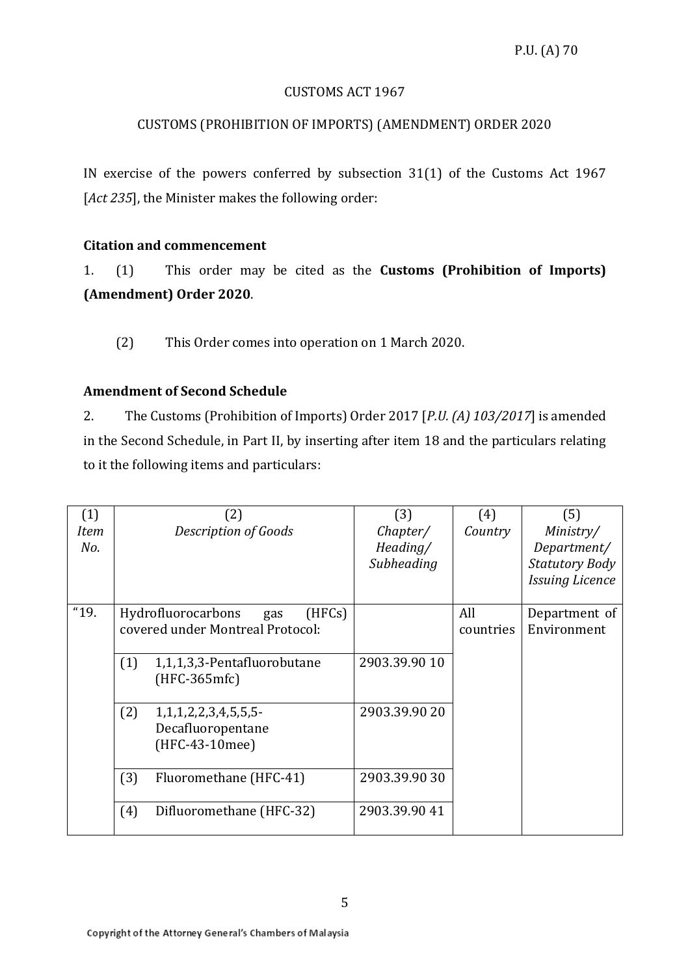#### CUSTOMS ACT 1967

# CUSTOMS (PROHIBITION OF IMPORTS) (AMENDMENT) ORDER 2020

IN exercise of the powers conferred by subsection 31(1) of the Customs Act 1967 [*Act 235*], the Minister makes the following order:

#### **Citation and commencement**

1. (1) This order may be cited as the **Customs (Prohibition of Imports) (Amendment) Order 2020**.

(2) This Order comes into operation on 1 March 2020.

#### **Amendment of Second Schedule**

2. The Customs (Prohibition of Imports) Order 2017 [*P.U. (A) 103/2017*] is amended in the Second Schedule, in Part II, by inserting after item 18 and the particulars relating to it the following items and particulars:

| (1)<br><b>Item</b><br>No. |     | (2)<br><b>Description of Goods</b>                                      | (3)<br>Chapter/<br>Heading/<br>Subheading | (4)<br>Country   | (5)<br>Ministry/<br>Department/<br><b>Statutory Body</b><br><b>Issuing Licence</b> |
|---------------------------|-----|-------------------------------------------------------------------------|-------------------------------------------|------------------|------------------------------------------------------------------------------------|
| "19.                      |     | Hydrofluorocarbons<br>(HFCs)<br>gas<br>covered under Montreal Protocol: |                                           | All<br>countries | Department of<br>Environment                                                       |
|                           | (1) | 1,1,1,3,3-Pentafluorobutane<br>(HFC-365mfc)                             | 2903.39.90 10                             |                  |                                                                                    |
|                           | (2) | 1, 1, 1, 2, 2, 3, 4, 5, 5, 5<br>Decafluoropentane<br>(HFC-43-10mee)     | 2903.39.90 20                             |                  |                                                                                    |
|                           | (3) | Fluoromethane (HFC-41)                                                  | 2903.39.90 30                             |                  |                                                                                    |
|                           | (4) | Difluoromethane (HFC-32)                                                | 2903.39.90 41                             |                  |                                                                                    |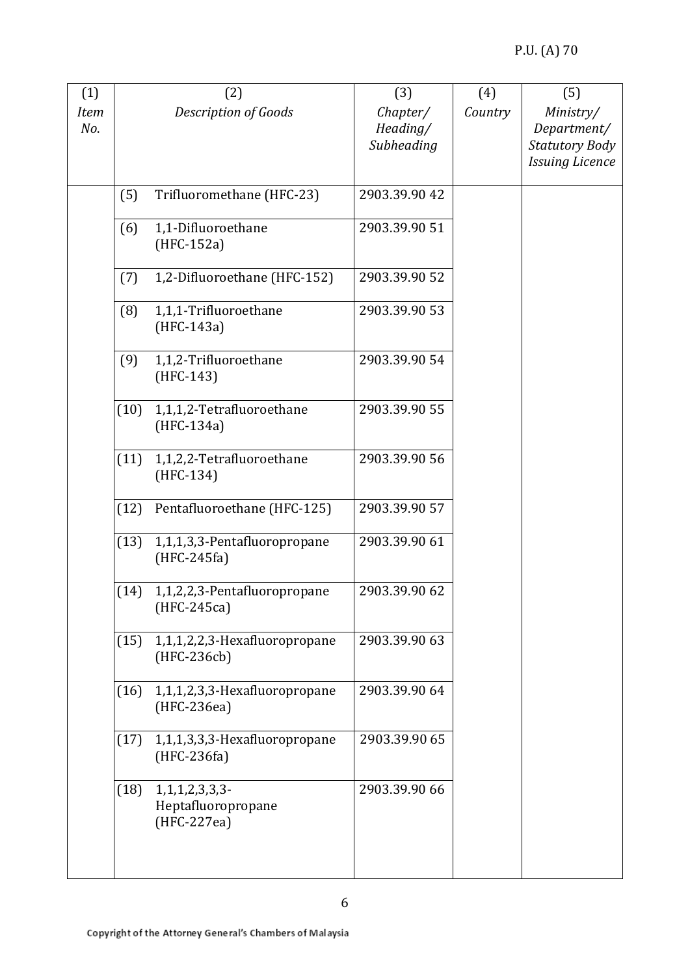| (1)         |      | (2)                           | (3)           | (4)     | (5)                    |
|-------------|------|-------------------------------|---------------|---------|------------------------|
| <b>Item</b> |      | Description of Goods          | Chapter/      | Country | Ministry/              |
| No.         |      |                               | Heading/      |         | Department/            |
|             |      |                               | Subheading    |         | <b>Statutory Body</b>  |
|             |      |                               |               |         | <b>Issuing Licence</b> |
|             |      |                               |               |         |                        |
|             | (5)  | Trifluoromethane (HFC-23)     | 2903.39.90 42 |         |                        |
|             |      |                               |               |         |                        |
|             | (6)  | 1,1-Difluoroethane            | 2903.39.90 51 |         |                        |
|             |      | $(HFC-152a)$                  |               |         |                        |
|             | (7)  | 1,2-Difluoroethane (HFC-152)  | 2903.39.90 52 |         |                        |
|             |      |                               |               |         |                        |
|             | (8)  | 1,1,1-Trifluoroethane         | 2903.39.90 53 |         |                        |
|             |      | (HFC-143a)                    |               |         |                        |
|             |      |                               |               |         |                        |
|             | (9)  | 1,1,2-Trifluoroethane         | 2903.39.90 54 |         |                        |
|             |      | $(HFC-143)$                   |               |         |                        |
|             |      |                               |               |         |                        |
|             | (10) | 1,1,1,2-Tetrafluoroethane     | 2903.39.90 55 |         |                        |
|             |      | (HFC-134a)                    |               |         |                        |
|             |      |                               |               |         |                        |
|             | (11) | 1,1,2,2-Tetrafluoroethane     | 2903.39.90 56 |         |                        |
|             |      | (HFC-134)                     |               |         |                        |
|             |      |                               |               |         |                        |
|             | (12) | Pentafluoroethane (HFC-125)   | 2903.39.90 57 |         |                        |
|             | (13) | 1,1,1,3,3-Pentafluoropropane  | 2903.39.90 61 |         |                        |
|             |      | $(HFC-245fa)$                 |               |         |                        |
|             |      |                               |               |         |                        |
|             | (14) | 1,1,2,2,3-Pentafluoropropane  | 2903.39.90 62 |         |                        |
|             |      | $(HFC-245ca)$                 |               |         |                        |
|             |      |                               |               |         |                        |
|             | (15) | 1,1,1,2,2,3-Hexafluoropropane | 2903.39.90 63 |         |                        |
|             |      | (HFC-236cb)                   |               |         |                        |
|             |      |                               |               |         |                        |
|             | (16) | 1,1,1,2,3,3-Hexafluoropropane | 2903.39.90 64 |         |                        |
|             |      | (HFC-236ea)                   |               |         |                        |
|             |      |                               |               |         |                        |
|             | (17) | 1,1,1,3,3,3-Hexafluoropropane | 2903.39.90 65 |         |                        |
|             |      | $(HFC-236fa)$                 |               |         |                        |
|             | (18) | 1, 1, 1, 2, 3, 3, 3           | 2903.39.90 66 |         |                        |
|             |      | Heptafluoropropane            |               |         |                        |
|             |      | (HFC-227ea)                   |               |         |                        |
|             |      |                               |               |         |                        |
|             |      |                               |               |         |                        |
|             |      |                               |               |         |                        |